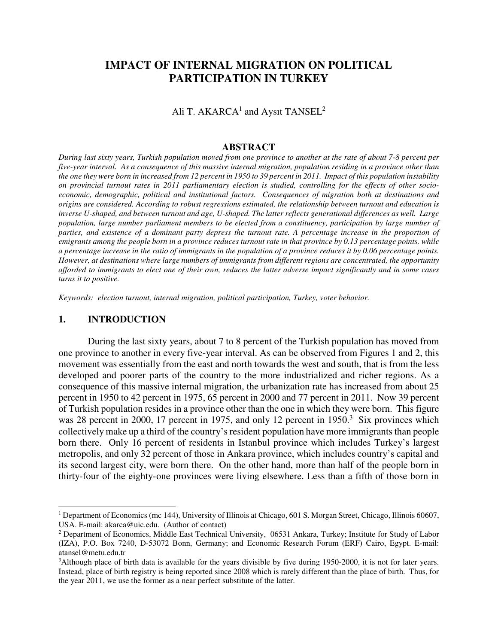# **IMPACT OF INTERNAL MIGRATION ON POLITICAL PARTICIPATION IN TURKEY**

Ali T. AKARCA $^1$  and Aysıt TANSEL $^2$ 

#### **ABSTRACT**

*During last sixty years, Turkish population moved from one province to another at the rate of about 7-8 percent per five-year interval. As a consequence of this massive internal migration, population residing in a province other than the one they were born in increased from 12 percent in 1950 to 39 percent in 2011. Impact of this population instability on provincial turnout rates in 2011 parliamentary election is studied, controlling for the effects of other socioeconomic, demographic, political and institutional factors. Consequences of migration both at destinations and origins are considered. According to robust regressions estimated, the relationship between turnout and education is inverse U-shaped, and between turnout and age, U-shaped. The latter reflects generational differences as well. Large population, large number parliament members to be elected from a constituency, participation by large number of parties, and existence of a dominant party depress the turnout rate. A percentage increase in the proportion of emigrants among the people born in a province reduces turnout rate in that province by 0.13 percentage points, while a percentage increase in the ratio of immigrants in the population of a province reduces it by 0.06 percentage points. However, at destinations where large numbers of immigrants from different regions are concentrated, the opportunity afforded to immigrants to elect one of their own, reduces the latter adverse impact significantly and in some cases turns it to positive.* 

*Keywords: election turnout, internal migration, political participation, Turkey, voter behavior.* 

#### **1. INTRODUCTION**

j

During the last sixty years, about 7 to 8 percent of the Turkish population has moved from one province to another in every five-year interval. As can be observed from Figures 1 and 2, this movement was essentially from the east and north towards the west and south, that is from the less developed and poorer parts of the country to the more industrialized and richer regions. As a consequence of this massive internal migration, the urbanization rate has increased from about 25 percent in 1950 to 42 percent in 1975, 65 percent in 2000 and 77 percent in 2011. Now 39 percent of Turkish population resides in a province other than the one in which they were born. This figure was 28 percent in 2000, 17 percent in 1975, and only 12 percent in 1950.<sup>3</sup> Six provinces which collectively make up a third of the country's resident population have more immigrants than people born there. Only 16 percent of residents in Istanbul province which includes Turkey's largest metropolis, and only 32 percent of those in Ankara province, which includes country's capital and its second largest city, were born there. On the other hand, more than half of the people born in thirty-four of the eighty-one provinces were living elsewhere. Less than a fifth of those born in

<sup>&</sup>lt;sup>1</sup> Department of Economics (mc 144), University of Illinois at Chicago, 601 S. Morgan Street, Chicago, Illinois 60607, USA. E-mail: akarca@uic.edu. (Author of contact)

<sup>&</sup>lt;sup>2</sup> Department of Economics, Middle East Technical University, 06531 Ankara, Turkey; Institute for Study of Labor (IZA), P.O. Box 7240, D-53072 Bonn, Germany; and Economic Research Forum (ERF) Cairo, Egypt. E-mail: atansel@metu.edu.tr

<sup>&</sup>lt;sup>3</sup>Although place of birth data is available for the years divisible by five during 1950-2000, it is not for later years. Instead, place of birth registry is being reported since 2008 which is rarely different than the place of birth. Thus, for the year 2011, we use the former as a near perfect substitute of the latter.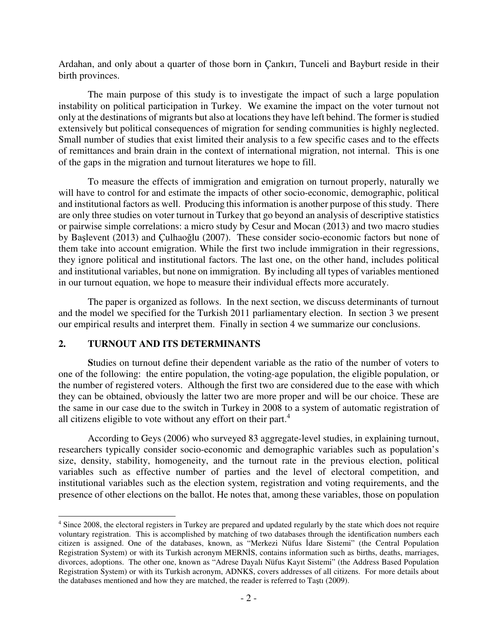Ardahan, and only about a quarter of those born in Çankırı, Tunceli and Bayburt reside in their birth provinces.

 The main purpose of this study is to investigate the impact of such a large population instability on political participation in Turkey. We examine the impact on the voter turnout not only at the destinations of migrants but also at locations they have left behind. The former is studied extensively but political consequences of migration for sending communities is highly neglected. Small number of studies that exist limited their analysis to a few specific cases and to the effects of remittances and brain drain in the context of international migration, not internal. This is one of the gaps in the migration and turnout literatures we hope to fill.

To measure the effects of immigration and emigration on turnout properly, naturally we will have to control for and estimate the impacts of other socio-economic, demographic, political and institutional factors as well. Producing this information is another purpose of this study. There are only three studies on voter turnout in Turkey that go beyond an analysis of descriptive statistics or pairwise simple correlations: a micro study by Cesur and Mocan (2013) and two macro studies by Başlevent (2013) and Çulhaoğlu (2007). These consider socio-economic factors but none of them take into account emigration. While the first two include immigration in their regressions, they ignore political and institutional factors. The last one, on the other hand, includes political and institutional variables, but none on immigration. By including all types of variables mentioned in our turnout equation, we hope to measure their individual effects more accurately.

 The paper is organized as follows. In the next section, we discuss determinants of turnout and the model we specified for the Turkish 2011 parliamentary election. In section 3 we present our empirical results and interpret them. Finally in section 4 we summarize our conclusions.

## **2. TURNOUT AND ITS DETERMINANTS**

j

 **S**tudies on turnout define their dependent variable as the ratio of the number of voters to one of the following: the entire population, the voting-age population, the eligible population, or the number of registered voters. Although the first two are considered due to the ease with which they can be obtained, obviously the latter two are more proper and will be our choice. These are the same in our case due to the switch in Turkey in 2008 to a system of automatic registration of all citizens eligible to vote without any effort on their part. $4$ 

According to Geys (2006) who surveyed 83 aggregate-level studies, in explaining turnout, researchers typically consider socio-economic and demographic variables such as population's size, density, stability, homogeneity, and the turnout rate in the previous election, political variables such as effective number of parties and the level of electoral competition, and institutional variables such as the election system, registration and voting requirements, and the presence of other elections on the ballot. He notes that, among these variables, those on population

<sup>&</sup>lt;sup>4</sup> Since 2008, the electoral registers in Turkey are prepared and updated regularly by the state which does not require voluntary registration. This is accomplished by matching of two databases through the identification numbers each citizen is assigned. One of the databases, known, as "Merkezi Nüfus İdare Sistemi" (the Central Population Registration System) or with its Turkish acronym MERNİS, contains information such as births, deaths, marriages, divorces, adoptions. The other one, known as "Adrese Dayalı Nüfus Kayıt Sistemi" (the Address Based Population Registration System) or with its Turkish acronym, ADNKS, covers addresses of all citizens. For more details about the databases mentioned and how they are matched, the reader is referred to Taştı (2009).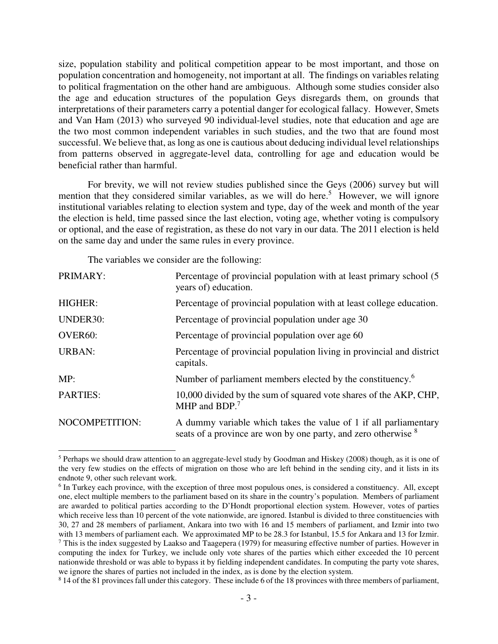size, population stability and political competition appear to be most important, and those on population concentration and homogeneity, not important at all. The findings on variables relating to political fragmentation on the other hand are ambiguous. Although some studies consider also the age and education structures of the population Geys disregards them, on grounds that interpretations of their parameters carry a potential danger for ecological fallacy. However, Smets and Van Ham (2013) who surveyed 90 individual-level studies, note that education and age are the two most common independent variables in such studies, and the two that are found most successful. We believe that, as long as one is cautious about deducing individual level relationships from patterns observed in aggregate-level data, controlling for age and education would be beneficial rather than harmful.

For brevity, we will not review studies published since the Geys (2006) survey but will mention that they considered similar variables, as we will do here.<sup>5</sup> However, we will ignore institutional variables relating to election system and type, day of the week and month of the year the election is held, time passed since the last election, voting age, whether voting is compulsory or optional, and the ease of registration, as these do not vary in our data. The 2011 election is held on the same day and under the same rules in every province.

The variables we consider are the following:

j

| PRIMARY:        | Percentage of provincial population with at least primary school (5)<br>years of) education.                                                  |
|-----------------|-----------------------------------------------------------------------------------------------------------------------------------------------|
| <b>HIGHER:</b>  | Percentage of provincial population with at least college education.                                                                          |
| <b>UNDER30:</b> | Percentage of provincial population under age 30                                                                                              |
| <b>OVER60:</b>  | Percentage of provincial population over age 60                                                                                               |
| <b>URBAN:</b>   | Percentage of provincial population living in provincial and district<br>capitals.                                                            |
| MP:             | Number of parliament members elected by the constituency. <sup>6</sup>                                                                        |
| <b>PARTIES:</b> | 10,000 divided by the sum of squared vote shares of the AKP, CHP,<br>MHP and BDP. $7$                                                         |
| NOCOMPETITION:  | A dummy variable which takes the value of 1 if all parliamentary<br>seats of a province are won by one party, and zero otherwise <sup>8</sup> |

<sup>&</sup>lt;sup>5</sup> Perhaps we should draw attention to an aggregate-level study by Goodman and Hiskey (2008) though, as it is one of the very few studies on the effects of migration on those who are left behind in the sending city, and it lists in its endnote 9, other such relevant work.

<sup>&</sup>lt;sup>6</sup> In Turkey each province, with the exception of three most populous ones, is considered a constituency. All, except one, elect multiple members to the parliament based on its share in the country's population. Members of parliament are awarded to political parties according to the D'Hondt proportional election system. However, votes of parties which receive less than 10 percent of the vote nationwide, are ignored. Istanbul is divided to three constituencies with 30, 27 and 28 members of parliament, Ankara into two with 16 and 15 members of parliament, and Izmir into two with 13 members of parliament each. We approximated MP to be 28.3 for Istanbul, 15.5 for Ankara and 13 for Izmir.  $^7$  This is the index suggested by Laakso and Taagepera (1979) for measuring effective number of parties. However in computing the index for Turkey, we include only vote shares of the parties which either exceeded the 10 percent nationwide threshold or was able to bypass it by fielding independent candidates. In computing the party vote shares, we ignore the shares of parties not included in the index, as is done by the election system.

<sup>&</sup>lt;sup>8</sup> 14 of the 81 provinces fall under this category. These include 6 of the 18 provinces with three members of parliament,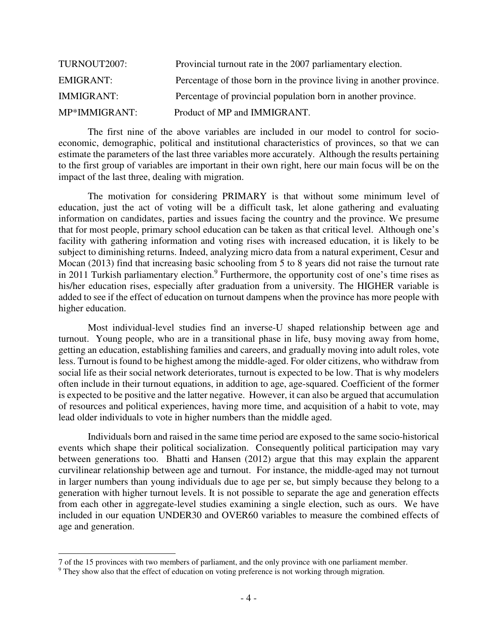| TURNOUT2007:      | Provincial turnout rate in the 2007 parliamentary election.          |
|-------------------|----------------------------------------------------------------------|
| <b>EMIGRANT:</b>  | Percentage of those born in the province living in another province. |
| <b>IMMIGRANT:</b> | Percentage of provincial population born in another province.        |
| MP*IMMIGRANT:     | Product of MP and IMMIGRANT.                                         |

 The first nine of the above variables are included in our model to control for socioeconomic, demographic, political and institutional characteristics of provinces, so that we can estimate the parameters of the last three variables more accurately. Although the results pertaining to the first group of variables are important in their own right, here our main focus will be on the impact of the last three, dealing with migration.

The motivation for considering PRIMARY is that without some minimum level of education, just the act of voting will be a difficult task, let alone gathering and evaluating information on candidates, parties and issues facing the country and the province. We presume that for most people, primary school education can be taken as that critical level. Although one's facility with gathering information and voting rises with increased education, it is likely to be subject to diminishing returns. Indeed, analyzing micro data from a natural experiment, Cesur and Mocan (2013) find that increasing basic schooling from 5 to 8 years did not raise the turnout rate in 2011 Turkish parliamentary election.<sup>9</sup> Furthermore, the opportunity cost of one's time rises as his/her education rises, especially after graduation from a university. The HIGHER variable is added to see if the effect of education on turnout dampens when the province has more people with higher education.

Most individual-level studies find an inverse-U shaped relationship between age and turnout. Young people, who are in a transitional phase in life, busy moving away from home, getting an education, establishing families and careers, and gradually moving into adult roles, vote less. Turnout is found to be highest among the middle-aged. For older citizens, who withdraw from social life as their social network deteriorates, turnout is expected to be low. That is why modelers often include in their turnout equations, in addition to age, age-squared. Coefficient of the former is expected to be positive and the latter negative. However, it can also be argued that accumulation of resources and political experiences, having more time, and acquisition of a habit to vote, may lead older individuals to vote in higher numbers than the middle aged.

Individuals born and raised in the same time period are exposed to the same socio-historical events which shape their political socialization. Consequently political participation may vary between generations too. Bhatti and Hansen (2012) argue that this may explain the apparent curvilinear relationship between age and turnout. For instance, the middle-aged may not turnout in larger numbers than young individuals due to age per se, but simply because they belong to a generation with higher turnout levels. It is not possible to separate the age and generation effects from each other in aggregate-level studies examining a single election, such as ours. We have included in our equation UNDER30 and OVER60 variables to measure the combined effects of age and generation.

j

<sup>7</sup> of the 15 provinces with two members of parliament, and the only province with one parliament member.

<sup>&</sup>lt;sup>9</sup> They show also that the effect of education on voting preference is not working through migration.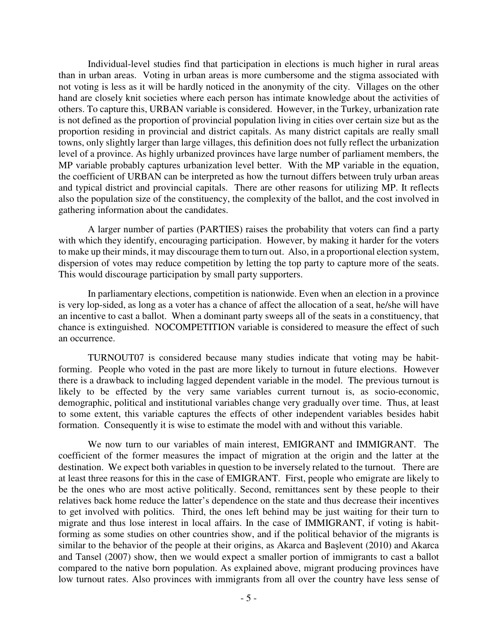Individual-level studies find that participation in elections is much higher in rural areas than in urban areas. Voting in urban areas is more cumbersome and the stigma associated with not voting is less as it will be hardly noticed in the anonymity of the city. Villages on the other hand are closely knit societies where each person has intimate knowledge about the activities of others. To capture this, URBAN variable is considered. However, in the Turkey, urbanization rate is not defined as the proportion of provincial population living in cities over certain size but as the proportion residing in provincial and district capitals. As many district capitals are really small towns, only slightly larger than large villages, this definition does not fully reflect the urbanization level of a province. As highly urbanized provinces have large number of parliament members, the MP variable probably captures urbanization level better. With the MP variable in the equation, the coefficient of URBAN can be interpreted as how the turnout differs between truly urban areas and typical district and provincial capitals. There are other reasons for utilizing MP. It reflects also the population size of the constituency, the complexity of the ballot, and the cost involved in gathering information about the candidates.

A larger number of parties (PARTIES) raises the probability that voters can find a party with which they identify, encouraging participation. However, by making it harder for the voters to make up their minds, it may discourage them to turn out. Also, in a proportional election system, dispersion of votes may reduce competition by letting the top party to capture more of the seats. This would discourage participation by small party supporters.

In parliamentary elections, competition is nationwide. Even when an election in a province is very lop-sided, as long as a voter has a chance of affect the allocation of a seat, he/she will have an incentive to cast a ballot. When a dominant party sweeps all of the seats in a constituency, that chance is extinguished. NOCOMPETITION variable is considered to measure the effect of such an occurrence.

 TURNOUT07 is considered because many studies indicate that voting may be habitforming. People who voted in the past are more likely to turnout in future elections. However there is a drawback to including lagged dependent variable in the model. The previous turnout is likely to be effected by the very same variables current turnout is, as socio-economic, demographic, political and institutional variables change very gradually over time. Thus, at least to some extent, this variable captures the effects of other independent variables besides habit formation. Consequently it is wise to estimate the model with and without this variable.

 We now turn to our variables of main interest, EMIGRANT and IMMIGRANT. The coefficient of the former measures the impact of migration at the origin and the latter at the destination. We expect both variables in question to be inversely related to the turnout. There are at least three reasons for this in the case of EMIGRANT. First, people who emigrate are likely to be the ones who are most active politically. Second, remittances sent by these people to their relatives back home reduce the latter's dependence on the state and thus decrease their incentives to get involved with politics. Third, the ones left behind may be just waiting for their turn to migrate and thus lose interest in local affairs. In the case of IMMIGRANT, if voting is habitforming as some studies on other countries show, and if the political behavior of the migrants is similar to the behavior of the people at their origins, as Akarca and Başlevent (2010) and Akarca and Tansel (2007) show, then we would expect a smaller portion of immigrants to cast a ballot compared to the native born population. As explained above, migrant producing provinces have low turnout rates. Also provinces with immigrants from all over the country have less sense of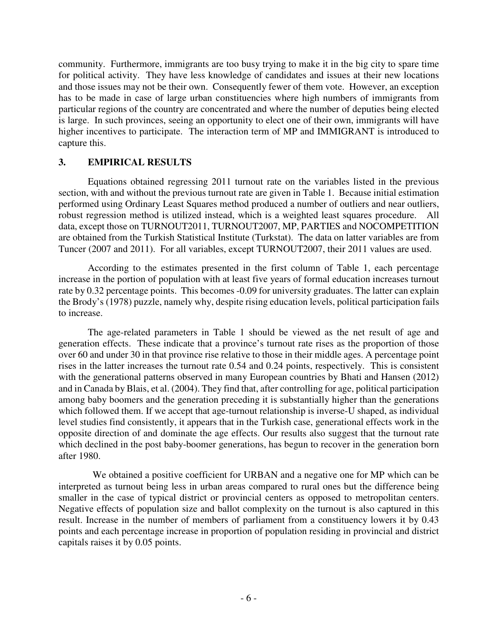community. Furthermore, immigrants are too busy trying to make it in the big city to spare time for political activity. They have less knowledge of candidates and issues at their new locations and those issues may not be their own. Consequently fewer of them vote. However, an exception has to be made in case of large urban constituencies where high numbers of immigrants from particular regions of the country are concentrated and where the number of deputies being elected is large. In such provinces, seeing an opportunity to elect one of their own, immigrants will have higher incentives to participate. The interaction term of MP and IMMIGRANT is introduced to capture this.

## **3. EMPIRICAL RESULTS**

Equations obtained regressing 2011 turnout rate on the variables listed in the previous section, with and without the previous turnout rate are given in Table 1. Because initial estimation performed using Ordinary Least Squares method produced a number of outliers and near outliers, robust regression method is utilized instead, which is a weighted least squares procedure. All data, except those on TURNOUT2011, TURNOUT2007, MP, PARTIES and NOCOMPETITION are obtained from the Turkish Statistical Institute (Turkstat). The data on latter variables are from Tuncer (2007 and 2011). For all variables, except TURNOUT2007, their 2011 values are used.

According to the estimates presented in the first column of Table 1, each percentage increase in the portion of population with at least five years of formal education increases turnout rate by 0.32 percentage points. This becomes -0.09 for university graduates. The latter can explain the Brody's (1978) puzzle, namely why, despite rising education levels, political participation fails to increase.

The age-related parameters in Table 1 should be viewed as the net result of age and generation effects. These indicate that a province's turnout rate rises as the proportion of those over 60 and under 30 in that province rise relative to those in their middle ages. A percentage point rises in the latter increases the turnout rate 0.54 and 0.24 points, respectively. This is consistent with the generational patterns observed in many European countries by Bhati and Hansen (2012) and in Canada by Blais, et al. (2004). They find that, after controlling for age, political participation among baby boomers and the generation preceding it is substantially higher than the generations which followed them. If we accept that age-turnout relationship is inverse-U shaped, as individual level studies find consistently, it appears that in the Turkish case, generational effects work in the opposite direction of and dominate the age effects. Our results also suggest that the turnout rate which declined in the post baby-boomer generations, has begun to recover in the generation born after 1980.

 We obtained a positive coefficient for URBAN and a negative one for MP which can be interpreted as turnout being less in urban areas compared to rural ones but the difference being smaller in the case of typical district or provincial centers as opposed to metropolitan centers. Negative effects of population size and ballot complexity on the turnout is also captured in this result. Increase in the number of members of parliament from a constituency lowers it by 0.43 points and each percentage increase in proportion of population residing in provincial and district capitals raises it by 0.05 points.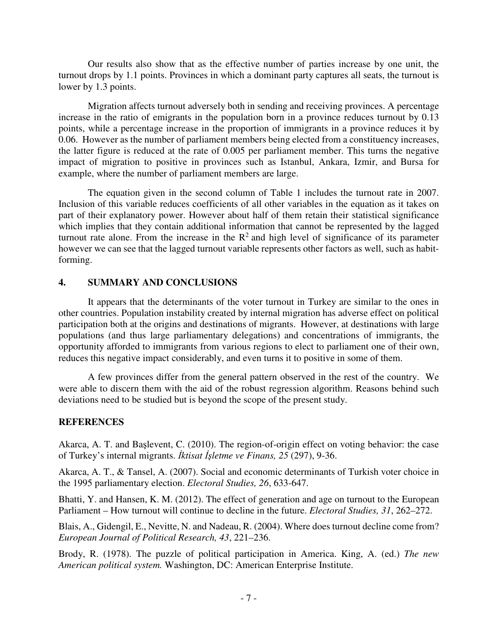Our results also show that as the effective number of parties increase by one unit, the turnout drops by 1.1 points. Provinces in which a dominant party captures all seats, the turnout is lower by 1.3 points.

Migration affects turnout adversely both in sending and receiving provinces. A percentage increase in the ratio of emigrants in the population born in a province reduces turnout by 0.13 points, while a percentage increase in the proportion of immigrants in a province reduces it by 0.06. However as the number of parliament members being elected from a constituency increases, the latter figure is reduced at the rate of 0.005 per parliament member. This turns the negative impact of migration to positive in provinces such as Istanbul, Ankara, Izmir, and Bursa for example, where the number of parliament members are large.

 The equation given in the second column of Table 1 includes the turnout rate in 2007. Inclusion of this variable reduces coefficients of all other variables in the equation as it takes on part of their explanatory power. However about half of them retain their statistical significance which implies that they contain additional information that cannot be represented by the lagged turnout rate alone. From the increase in the  $\mathbb{R}^2$  and high level of significance of its parameter however we can see that the lagged turnout variable represents other factors as well, such as habitforming.

## **4. SUMMARY AND CONCLUSIONS**

It appears that the determinants of the voter turnout in Turkey are similar to the ones in other countries. Population instability created by internal migration has adverse effect on political participation both at the origins and destinations of migrants. However, at destinations with large populations (and thus large parliamentary delegations) and concentrations of immigrants, the opportunity afforded to immigrants from various regions to elect to parliament one of their own, reduces this negative impact considerably, and even turns it to positive in some of them.

A few provinces differ from the general pattern observed in the rest of the country. We were able to discern them with the aid of the robust regression algorithm. Reasons behind such deviations need to be studied but is beyond the scope of the present study.

## **REFERENCES**

Akarca, A. T. and Başlevent, C. (2010). The region-of-origin effect on voting behavior: the case of Turkey's internal migrants. İ*ktisat* İş*letme ve Finans, 25* (297), 9-36.

Akarca, A. T., & Tansel, A. (2007). Social and economic determinants of Turkish voter choice in the 1995 parliamentary election. *Electoral Studies, 26*, 633-647.

Bhatti, Y. and Hansen, K. M. (2012). The effect of generation and age on turnout to the European Parliament – How turnout will continue to decline in the future. *Electoral Studies, 31*, 262–272.

Blais, A., Gidengil, E., Nevitte, N. and Nadeau, R. (2004). Where does turnout decline come from? *European Journal of Political Research, 43*, 221–236.

Brody, R. (1978). The puzzle of political participation in America. King, A. (ed.) *The new American political system.* Washington, DC: American Enterprise Institute.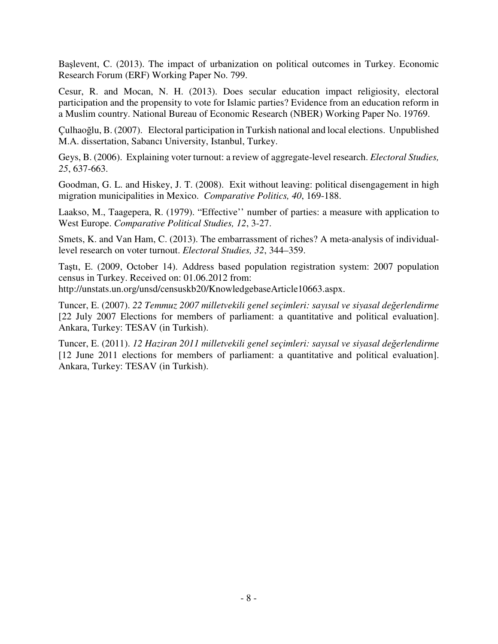Başlevent, C. (2013). The impact of urbanization on political outcomes in Turkey. Economic Research Forum (ERF) Working Paper No. 799.

Cesur, R. and Mocan, N. H. (2013). Does secular education impact religiosity, electoral participation and the propensity to vote for Islamic parties? Evidence from an education reform in a Muslim country. National Bureau of Economic Research (NBER) Working Paper No. 19769.

Çulhaoğlu, B. (2007). Electoral participation in Turkish national and local elections. Unpublished M.A. dissertation, Sabancı University, Istanbul, Turkey.

Geys, B. (2006). Explaining voter turnout: a review of aggregate-level research. *Electoral Studies, 25*, 637-663.

Goodman, G. L. and Hiskey, J. T. (2008). Exit without leaving: political disengagement in high migration municipalities in Mexico. *Comparative Politics, 40*, 169-188.

Laakso, M., Taagepera, R. (1979). "Effective'' number of parties: a measure with application to West Europe. *Comparative Political Studies, 12*, 3-27.

Smets, K. and Van Ham, C. (2013). The embarrassment of riches? A meta-analysis of individuallevel research on voter turnout. *Electoral Studies, 32*, 344–359.

Taştı, E. (2009, October 14). Address based population registration system: 2007 population census in Turkey. Received on: 01.06.2012 from:

http://unstats.un.org/unsd/censuskb20/KnowledgebaseArticle10663.aspx.

Tuncer, E. (2007). *22 Temmuz 2007 milletvekili genel seçimleri: sayısal ve siyasal de*ğ*erlendirme* [22 July 2007 Elections for members of parliament: a quantitative and political evaluation]. Ankara, Turkey: TESAV (in Turkish).

Tuncer, E. (2011). *12 Haziran 2011 milletvekili genel seçimleri: sayısal ve siyasal de*ğ*erlendirme* [12 June 2011 elections for members of parliament: a quantitative and political evaluation]. Ankara, Turkey: TESAV (in Turkish).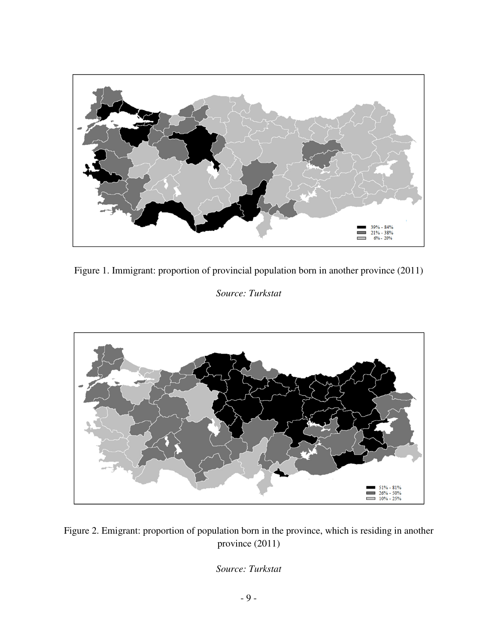

Figure 1. Immigrant: proportion of provincial population born in another province (2011)

*Source: Turkstat* 



Figure 2. Emigrant: proportion of population born in the province, which is residing in another province (2011)

*Source: Turkstat*